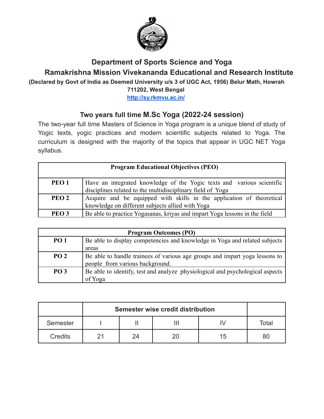

# **Department of Sports Science and Yoga**

**Ramakrishna Mission Vivekananda Educational and Research Institute**

**(Declared by Govt of India as Deemed University u/s 3 of UGC Act, 1956) Belur Math, Howrah**

**711202, West Bengal**

**<http://sy.rkmvu.ac.in/>**

# **Two years full time M.Sc Yoga (2022-24 session)**

The two-year full time Masters of Science in Yoga program is a unique blend of study of Yogic texts, yogic practices and modern scientific subjects related to Yoga. The curriculum is designed with the majority of the topics that appear in UGC NET Yoga syllabus.

| <b>Program Educational Objectives (PEO)</b> |                                                                            |  |  |
|---------------------------------------------|----------------------------------------------------------------------------|--|--|
| PEO <sub>1</sub>                            | Have an integrated knowledge of the Yogic texts and various scientific     |  |  |
|                                             | disciplines related to the multidisciplinary field of Yoga                 |  |  |
| PEO <sub>2</sub>                            | Acquire and be equipped with skills in the application of theoretical      |  |  |
|                                             | knowledge on different subjects allied with Yoga                           |  |  |
| PEO <sub>3</sub>                            | Be able to practice Yogasanas, krivas and impart Yoga lessons in the field |  |  |

| <b>Program Outcomes (PO)</b> |                                                                               |  |  |
|------------------------------|-------------------------------------------------------------------------------|--|--|
| <b>PO 1</b>                  | Be able to display competencies and knowledge in Yoga and related subjects    |  |  |
|                              | areas                                                                         |  |  |
| PO <sub>2</sub>              | Be able to handle trainees of various age groups and impart yoga lessons to   |  |  |
|                              | people from various background.                                               |  |  |
| <b>PO 3</b>                  | Be able to identify, test and analyze physiological and psychological aspects |  |  |
|                              | of Yoga                                                                       |  |  |

|          | Semester wise credit distribution |    |  |    |       |
|----------|-----------------------------------|----|--|----|-------|
| Semester |                                   |    |  |    | Total |
| Credits  |                                   | 24 |  | 15 | 80    |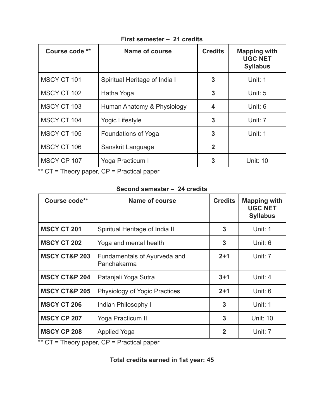| Course code ** | <b>Name of course</b>         | <b>Credits</b> | <b>Mapping with</b><br><b>UGC NET</b><br><b>Syllabus</b> |
|----------------|-------------------------------|----------------|----------------------------------------------------------|
| MSCY CT 101    | Spiritual Heritage of India I | 3              | Unit: 1                                                  |
| MSCY CT 102    | Hatha Yoga                    | 3              | Unit: 5                                                  |
| MSCY CT 103    | Human Anatomy & Physiology    | 4              | Unit: 6                                                  |
| MSCY CT 104    | <b>Yogic Lifestyle</b>        | 3              | Unit: 7                                                  |
| MSCY CT 105    | Foundations of Yoga           | 3              | Unit: 1                                                  |
| MSCY CT 106    | Sanskrit Language             | $\overline{2}$ |                                                          |
| MSCY CP 107    | Yoga Practicum I              | 3              | <b>Unit: 10</b>                                          |

#### **First semester – 21 credits**

\*\* CT = Theory paper, CP = Practical paper

#### **Second semester – 24 credits**

| Course code**            | Name of course                              | <b>Credits</b> | <b>Mapping with</b><br><b>UGC NET</b><br><b>Syllabus</b> |
|--------------------------|---------------------------------------------|----------------|----------------------------------------------------------|
| <b>MSCY CT 201</b>       | Spiritual Heritage of India II              | 3              | Unit: 1                                                  |
| <b>MSCY CT 202</b>       | Yoga and mental health                      | 3              | Unit: 6                                                  |
| <b>MSCY CT&amp;P 203</b> | Fundamentals of Ayurveda and<br>Panchakarma | $2+1$          | Unit: 7                                                  |
| <b>MSCY CT&amp;P 204</b> | Patanjali Yoga Sutra                        | $3 + 1$        | Unit: 4                                                  |
| <b>MSCY CT&amp;P 205</b> | <b>Physiology of Yogic Practices</b>        | $2 + 1$        | Unit: 6                                                  |
| <b>MSCY CT 206</b>       | Indian Philosophy I                         | 3              | Unit: 1                                                  |
| <b>MSCY CP 207</b>       | Yoga Practicum II                           | 3              | <b>Unit: 10</b>                                          |
| <b>MSCY CP 208</b>       | <b>Applied Yoga</b>                         | $\overline{2}$ | Unit: 7                                                  |

\*\* CT = Theory paper, CP = Practical paper

## **Total credits earned in 1st year: 45**